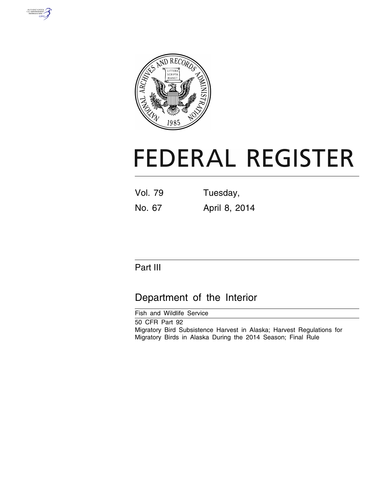



# **FEDERAL REGISTER**

| <b>Vol. 79</b> | Tuesday,      |
|----------------|---------------|
| No. 67         | April 8, 2014 |

# Part III

# Department of the Interior

Fish and Wildlife Service 50 CFR Part 92 Migratory Bird Subsistence Harvest in Alaska; Harvest Regulations for Migratory Birds in Alaska During the 2014 Season; Final Rule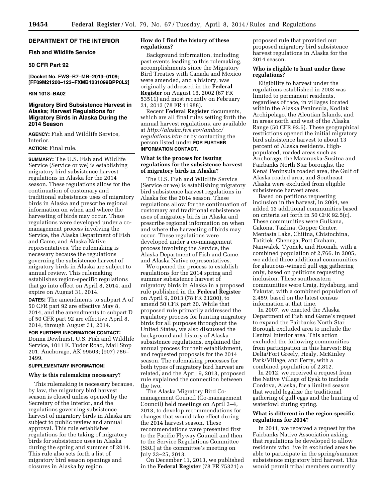# **DEPARTMENT OF THE INTERIOR**

#### **Fish and Wildlife Service**

### **50 CFR Part 92**

**[Docket No. FWS–R7–MB–2013–0109; [FF09M21200–123–FXMB1231099BPP0L2]** 

#### **RIN 1018–BA02**

# **Migratory Bird Subsistence Harvest in Alaska; Harvest Regulations for Migratory Birds in Alaska During the 2014 Season**

**AGENCY:** Fish and Wildlife Service, Interior.

#### **ACTION:** Final rule.

**SUMMARY:** The U.S. Fish and Wildlife Service (Service or we) is establishing migratory bird subsistence harvest regulations in Alaska for the 2014 season. These regulations allow for the continuation of customary and traditional subsistence uses of migratory birds in Alaska and prescribe regional information on when and where the harvesting of birds may occur. These regulations were developed under a comanagement process involving the Service, the Alaska Department of Fish and Game, and Alaska Native representatives. The rulemaking is necessary because the regulations governing the subsistence harvest of migratory birds in Alaska are subject to annual review. This rulemaking establishes region-specific regulations that go into effect on April 8, 2014, and expire on August 31, 2014.

**DATES:** The amendments to subpart A of 50 CFR part 92 are effective May 8, 2014, and the amendments to subpart D of 50 CFR part 92 are effective April 8, 2014, through August 31, 2014.

**FOR FURTHER INFORMATION CONTACT:**  Donna Dewhurst, U.S. Fish and Wildlife Service, 1011 E. Tudor Road, Mail Stop 201, Anchorage, AK 99503; (907) 786– 3499.

#### **SUPPLEMENTARY INFORMATION:**

#### **Why is this rulemaking necessary?**

This rulemaking is necessary because, by law, the migratory bird harvest season is closed unless opened by the Secretary of the Interior, and the regulations governing subsistence harvest of migratory birds in Alaska are subject to public review and annual approval. This rule establishes regulations for the taking of migratory birds for subsistence uses in Alaska during the spring and summer of 2014. This rule also sets forth a list of migratory bird season openings and closures in Alaska by region.

# **How do I find the history of these regulations?**

Background information, including past events leading to this rulemaking, accomplishments since the Migratory Bird Treaties with Canada and Mexico were amended, and a history, was originally addressed in the **Federal Register** on August 16, 2002 (67 FR 53511) and most recently on February 21, 2013 (78 FR 11988).

Recent **Federal Register** documents, which are all final rules setting forth the annual harvest regulations, are available at *[http://alaska.fws.gov/ambcc/](http://alaska.fws.gov/ambcc/regulations.htm) [regulations.htm](http://alaska.fws.gov/ambcc/regulations.htm)* or by contacting the person listed under **FOR FURTHER INFORMATION CONTACT.** 

#### **What is the process for issuing regulations for the subsistence harvest of migratory birds in Alaska?**

The U.S. Fish and Wildlife Service (Service or we) is establishing migratory bird subsistence harvest regulations in Alaska for the 2014 season. These regulations allow for the continuation of customary and traditional subsistence uses of migratory birds in Alaska and prescribe regional information on when and where the harvesting of birds may occur. These regulations were developed under a co-management process involving the Service, the Alaska Department of Fish and Game, and Alaska Native representatives.

We opened the process to establish regulations for the 2014 spring and summer subsistence harvest of migratory birds in Alaska in a proposed rule published in the **Federal Register**  on April 9, 2013 (78 FR 21200), to amend 50 CFR part 20. While that proposed rule primarily addressed the regulatory process for hunting migratory birds for all purposes throughout the United States, we also discussed the background and history of Alaska subsistence regulations, explained the annual process for their establishment, and requested proposals for the 2014 season. The rulemaking processes for both types of migratory bird harvest are related, and the April 9, 2013, proposed rule explained the connection between the two.

The Alaska Migratory Bird Comanagement Council (Co-management Council) held meetings on April 3–4, 2013, to develop recommendations for changes that would take effect during the 2014 harvest season. These recommendations were presented first to the Pacific Flyway Council and then to the Service Regulations Committee (SRC) at the committee's meeting on July 23–25, 2013.

On December 11, 2013, we published in the **Federal Register** (78 FR 75321) a

proposed rule that provided our proposed migratory bird subsistence harvest regulations in Alaska for the 2014 season.

# **Who is eligible to hunt under these regulations?**

Eligibility to harvest under the regulations established in 2003 was limited to permanent residents, regardless of race, in villages located within the Alaska Peninsula, Kodiak Archipelago, the Aleutian Islands, and in areas north and west of the Alaska Range (50 CFR 92.5). These geographical restrictions opened the initial migratory bird subsistence harvest to about 13 percent of Alaska residents. Highpopulated, roaded areas such as Anchorage, the Matanuska-Susitna and Fairbanks North Star boroughs, the Kenai Peninsula roaded area, the Gulf of Alaska roaded area, and Southeast Alaska were excluded from eligible subsistence harvest areas.

Based on petitions requesting inclusion in the harvest, in 2004, we added 13 additional communities based on criteria set forth in 50 CFR 92.5(c). These communities were Gulkana, Gakona, Tazlina, Copper Center, Mentasta Lake, Chitina, Chistochina, Tatitlek, Chenega, Port Graham, Nanwalek, Tyonek, and Hoonah, with a combined population of 2,766. In 2005, we added three additional communities for glaucous-winged gull egg gathering only, based on petitions requesting inclusion. These southeastern communities were Craig, Hydaburg, and Yakutat, with a combined population of 2,459, based on the latest census information at that time.

In 2007, we enacted the Alaska Department of Fish and Game's request to expand the Fairbanks North Star Borough excluded area to include the Central Interior area. This action excluded the following communities from participation in this harvest: Big Delta/Fort Greely, Healy, McKinley Park/Village, and Ferry, with a combined population of 2,812.

In 2012, we received a request from the Native Village of Eyak to include Cordova, Alaska, for a limited season that would legalize the traditional gathering of gull eggs and the hunting of waterfowl during spring.

# **What is different in the region-specific regulations for 2014?**

In 2011, we received a request by the Fairbanks Native Association asking that regulations be developed to allow residents who live in excluded areas be able to participate in the spring/summer subsistence migratory bird harvest. This would permit tribal members currently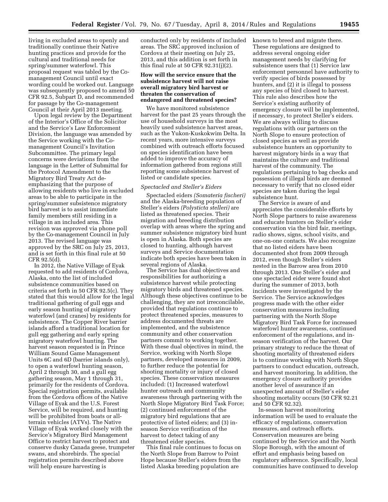living in excluded areas to openly and traditionally continue their Native hunting practices and provide for the cultural and traditional needs for spring/summer waterfowl. This proposal request was tabled by the Comanagement Council until exact wording could be worked out. Language was subsequently proposed to amend 50 CFR 92.5, Subpart D, and recommended for passage by the Co-management Council at their April 2013 meeting.

Upon legal review by the Department of the Interior's Office of the Solicitor and the Service's Law Enforcement Division, the language was amended by the Service working with the Comanagement Council's Invitation Subcommittee. The primary legal concerns were deviations from the language in the Letter of Submittal for the Protocol Amendment to the Migratory Bird Treaty Act deemphasizing that the purpose of allowing residents who live in excluded areas to be able to participate in the spring/summer subsistence migratory bird harvest is to assist immediate family members still residing in a village in an included area. This revision was approved via phone poll by the Co-management Council in July 2013. The revised language was approved by the SRC on July 25, 2013, and is set forth in this final rule at 50 CFR 92.5(d).

In 2012, the Native Village of Eyak requested to add residents of Cordova, Alaska, onto the list of included subsistence communities based on criteria set forth in 50 CFR 92.5(c). They stated that this would allow for the legal traditional gathering of gull eggs and early season hunting of migratory waterfowl (and cranes) by residents for subsistence. The Copper River barrier islands afford a traditional location for gull egg gathering and early spring migratory waterfowl hunting. The harvest season requested is in Prince William Sound Game Management Units 6C and 6D (barrier islands only), to open a waterfowl hunting season, April 2 through 30, and a gull egg gathering season, May 1 through 31, primarily for the residents of Cordova. Special registration permits, available from the Cordova offices of the Native Village of Eyak and the U.S. Forest Service, will be required, and hunting will be prohibited from boats or allterrain vehicles (ATVs). The Native Village of Eyak worked closely with the Service's Migratory Bird Management Office to restrict harvest to protect and conserve dusky Canada geese, trumpeter swans, and shorebirds. The special registration permits described above will help ensure harvesting is

conducted only by residents of included areas. The SRC approved inclusion of Cordova at their meeting on July 25, 2013, and this addition is set forth in this final rule at 50 CFR 92.31(j)(2).

### **How will the service ensure that the subsistence harvest will not raise overall migratory bird harvest or threaten the conservation of endangered and threatened species?**

We have monitored subsistence harvest for the past 25 years through the use of household surveys in the most heavily used subsistence harvest areas, such as the Yukon-Kuskokwim Delta. In recent years, more intensive surveys combined with outreach efforts focused on species identification have been added to improve the accuracy of information gathered from regions still reporting some subsistence harvest of listed or candidate species.

#### *Spectacled and Steller's Eiders*

Spectacled eiders *(Somateria fischeri)*  and the Alaska-breeding population of Steller's eiders *(Polysticta stelleri)* are listed as threatened species. Their migration and breeding distribution overlap with areas where the spring and summer subsistence migratory bird hunt is open in Alaska. Both species are closed to hunting, although harvest surveys and Service documentation indicate both species have been taken in several regions of Alaska.

The Service has dual objectives and responsibilities for authorizing a subsistence harvest while protecting migratory birds and threatened species. Although these objectives continue to be challenging, they are not irreconcilable, provided that regulations continue to protect threatened species, measures to address documented threats are implemented, and the subsistence community and other conservation partners commit to working together. With these dual objectives in mind, the Service, working with North Slope partners, developed measures in 2009, to further reduce the potential for shooting mortality or injury of closed species. These conservation measures included: (1) Increased waterfowl hunter outreach and community awareness through partnering with the North Slope Migratory Bird Task Force; (2) continued enforcement of the migratory bird regulations that are protective of listed eiders; and (3) inseason Service verification of the harvest to detect taking of any threatened eider species.

This final rule continues to focus on the North Slope from Barrow to Point Hope because Steller's eiders from the listed Alaska breeding population are

known to breed and migrate there. These regulations are designed to address several ongoing eider management needs by clarifying for subsistence users that (1) Service law enforcement personnel have authority to verify species of birds possessed by hunters, and (2) it is illegal to possess any species of bird closed to harvest. This rule also describes how the Service's existing authority of emergency closure will be implemented, if necessary, to protect Steller's eiders. We are always willing to discuss regulations with our partners on the North Slope to ensure protection of closed species as well as provide subsistence hunters an opportunity to harvest migratory birds in a way that maintains the culture and traditional harvest of the community. The regulations pertaining to bag checks and possession of illegal birds are deemed necessary to verify that no closed eider species are taken during the legal subsistence hunt.

The Service is aware of and appreciates the considerable efforts by North Slope partners to raise awareness and educate hunters on Steller's eider conservation via the bird fair, meetings, radio shows, signs, school visits, and one-on-one contacts. We also recognize that no listed eiders have been documented shot from 2009 through 2012, even though Steller's eiders nested in the Barrow area from 2010 through 2013. One Steller's eider and one spectacled eider were found shot during the summer of 2013, both incidents were investigated by the Service. The Service acknowledges progress made with the other eider conservation measures including partnering with the North Slope Migratory Bird Task Force for increased waterfowl hunter awareness, continued enforcement of the regulations, and inseason verification of the harvest. Our primary strategy to reduce the threat of shooting mortality of threatened eiders is to continue working with North Slope partners to conduct education, outreach, and harvest monitoring. In addition, the emergency closure authority provides another level of assurance if an unexpected amount of Steller's eider shooting mortality occurs (50 CFR 92.21 and 50 CFR 92.32).

In-season harvest monitoring information will be used to evaluate the efficacy of regulations, conservation measures, and outreach efforts. Conservation measures are being continued by the Service and the North Slope Borough, with the amount of effort and emphasis being based on regulatory adherence. Specifically, local communities have continued to develop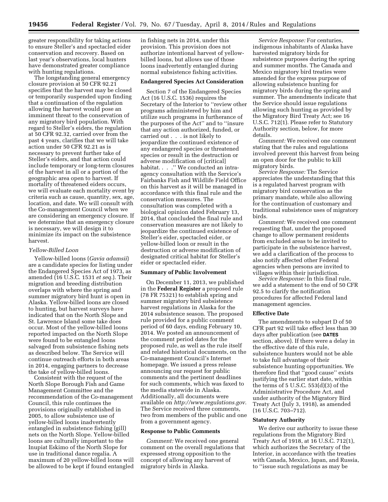greater responsibility for taking actions to ensure Steller's and spectacled eider conservation and recovery. Based on last year's observations, local hunters have demonstrated greater compliance with hunting regulations.

The longstanding general emergency closure provision at 50 CFR 92.21 specifies that the harvest may be closed or temporarily suspended upon finding that a continuation of the regulation allowing the harvest would pose an imminent threat to the conservation of any migratory bird population. With regard to Steller's eiders, the regulation at 50 CFR 92.32, carried over from the past 4 years, clarifies that we will take action under 50 CFR 92.21 as is necessary to prevent further take of Steller's eiders, and that action could include temporary or long-term closures of the harvest in all or a portion of the geographic area open to harvest. If mortality of threatened eiders occurs, we will evaluate each mortality event by criteria such as cause, quantity, sex, age, location, and date. We will consult with the Co-management Council when we are considering an emergency closure. If we determine that an emergency closure is necessary, we will design it to minimize its impact on the subsistence harvest.

#### *Yellow-Billed Loon*

Yellow-billed loons (*Gavia adamsii*) are a candidate species for listing under the Endangered Species Act of 1973, as amended (16 U.S.C. 1531 *et seq.*). Their migration and breeding distribution overlaps with where the spring and summer migratory bird hunt is open in Alaska. Yellow-billed loons are closed to hunting, but harvest surveys have indicated that on the North Slope and St. Lawrence Island some take does occur. Most of the yellow-billed loons reported impacted on the North Slope were found to be entangled loons salvaged from subsistence fishing nets as described below. The Service will continue outreach efforts in both areas in 2014, engaging partners to decrease the take of yellow-billed loons.

Consistent with the request of the North Slope Borough Fish and Game Management Committee and the recommendation of the Co-management Council, this rule continues the provisions originally established in 2005, to allow subsistence use of yellow-billed loons inadvertently entangled in subsistence fishing (gill) nets on the North Slope. Yellow-billed loons are culturally important to the Inupiat Eskimo of the North Slope for use in traditional dance regalia. A maximum of 20 yellow-billed loons will be allowed to be kept if found entangled in fishing nets in 2014, under this provision. This provision does not authorize intentional harvest of yellowbilled loons, but allows use of those loons inadvertently entangled during normal subsistence fishing activities.

#### **Endangered Species Act Consideration**

Section 7 of the Endangered Species Act (16 U.S.C. 1536) requires the Secretary of the Interior to ''review other programs administered by him and utilize such programs in furtherance of the purposes of the Act'' and to ''insure that any action authorized, funded, or carried out . . . is not likely to jeopardize the continued existence of any endangered species or threatened species or result in the destruction or adverse modification of [critical] habitat. . . .'' We conducted an intraagency consultation with the Service's Fairbanks Fish and Wildlife Field Office on this harvest as it will be managed in accordance with this final rule and the conservation measures. The consultation was completed with a biological opinion dated February 13, 2014, that concluded the final rule and conservation measures are not likely to jeopardize the continued existence of Steller's eider, spectacled eider, or yellow-billed loon or result in the destruction or adverse modification of designated critical habitat for Steller's eider or spectacled eider.

#### **Summary of Public Involvement**

On December 11, 2013, we published in the **Federal Register** a proposed rule (78 FR 75321) to establish spring and summer migratory bird subsistence harvest regulations in Alaska for the 2014 subsistence season. The proposed rule provided for a public comment period of 60 days, ending February 10, 2014. We posted an announcement of the comment period dates for the proposed rule, as well as the rule itself and related historical documents, on the Co-management Council's Internet homepage. We issued a press release announcing our request for public comments and the pertinent deadlines for such comments, which was faxed to the media statewide in Alaska. Additionally, all documents were available on *<http://www.regulations.gov>*. The Service received three comments, two from members of the public and one from a government agency.

### **Response to Public Comments**

*Comment:* We received one general comment on the overall regulations that expressed strong opposition to the concept of allowing any harvest of migratory birds in Alaska.

*Service Response:* For centuries, indigenous inhabitants of Alaska have harvested migratory birds for subsistence purposes during the spring and summer months. The Canada and Mexico migratory bird treaties were amended for the express purpose of allowing subsistence hunting for migratory birds during the spring and summer. The amendments indicate that the Service should issue regulations allowing such hunting as provided by the Migratory Bird Treaty Act; see 16 U.S.C. 712(1). Please refer to Statutory Authority section, below, for more details.

*Comment:* We received one comment stating that the rules and regulations involved prevent this harvest from being an open door for the public to kill migratory birds.

*Service Response:* The Service appreciates the understanding that this is a regulated harvest program with migratory bird conservation as the primary mandate, while also allowing for the continuation of customary and traditional subsistence uses of migratory birds.

*Comment:* We received one comment requesting that, under the proposed change to allow permanent residents from excluded areas to be invited to participate in the subsistence harvest, we add a clarification of the process to also notify affected other Federal agencies when persons are invited to villages within their jurisdiction.

*Service Response:* In this final rule, we add a statement to the end of 50 CFR 92.5 to clarify the notification procedures for affected Federal land management agencies.

### **Effective Date**

The amendments to subpart D of 50 CFR part 92 will take effect less than 30 days after publication (see **DATES** section, above). If there were a delay in the effective date of this rule, subsistence hunters would not be able to take full advantage of their subsistence hunting opportunities. We therefore find that ''good cause'' exists justifying the earlier start date, within the terms of 5 U.S.C. 553(d)(3) of the Administrative Procedure Act, and under authority of the Migratory Bird Treaty Act (July 3, 1918), as amended (16 U.S.C. 703–712).

#### **Statutory Authority**

We derive our authority to issue these regulations from the Migratory Bird Treaty Act of 1918, at 16 U.S.C. 712(1), which authorizes the Secretary of the Interior, in accordance with the treaties with Canada, Mexico, Japan, and Russia, to ''issue such regulations as may be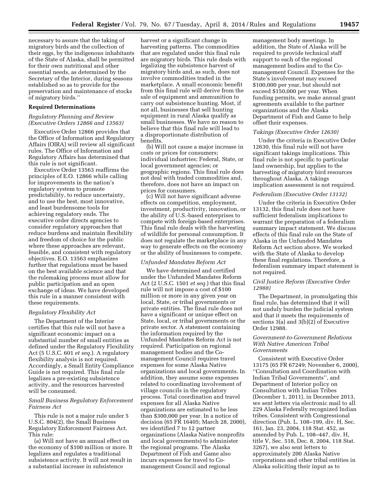necessary to assure that the taking of migratory birds and the collection of their eggs, by the indigenous inhabitants of the State of Alaska, shall be permitted for their own nutritional and other essential needs, as determined by the Secretary of the Interior, during seasons established so as to provide for the preservation and maintenance of stocks of migratory birds.''

# **Required Determinations**

#### *Regulatory Planning and Review (Executive Orders 12866 and 13563)*

Executive Order 12866 provides that the Office of Information and Regulatory Affairs (OIRA) will review all significant rules. The Office of Information and Regulatory Affairs has determined that this rule is not significant.

Executive Order 13563 reaffirms the principles of E.O. 12866 while calling for improvements in the nation's regulatory system to promote predictability, to reduce uncertainty, and to use the best, most innovative, and least burdensome tools for achieving regulatory ends. The executive order directs agencies to consider regulatory approaches that reduce burdens and maintain flexibility and freedom of choice for the public where these approaches are relevant, feasible, and consistent with regulatory objectives. E.O. 13563 emphasizes further that regulations must be based on the best available science and that the rulemaking process must allow for public participation and an open exchange of ideas. We have developed this rule in a manner consistent with these requirements.

#### *Regulatory Flexibility Act*

The Department of the Interior certifies that this rule will not have a significant economic impact on a substantial number of small entities as defined under the Regulatory Flexibility Act (5 U.S.C. 601 *et seq.*). A regulatory flexibility analysis is not required. Accordingly, a Small Entity Compliance Guide is not required. This final rule legalizes a pre-existing subsistence activity, and the resources harvested will be consumed.

# *Small Business Regulatory Enforcement Fairness Act*

This rule is not a major rule under 5 U.S.C. 804(2), the Small Business Regulatory Enforcement Fairness Act. This rule:

(a) Will not have an annual effect on the economy of \$100 million or more. It legalizes and regulates a traditional subsistence activity. It will not result in a substantial increase in subsistence

harvest or a significant change in harvesting patterns. The commodities that are regulated under this final rule are migratory birds. This rule deals with legalizing the subsistence harvest of migratory birds and, as such, does not involve commodities traded in the marketplace. A small economic benefit from this final rule will derive from the sale of equipment and ammunition to carry out subsistence hunting. Most, if not all, businesses that sell hunting equipment in rural Alaska qualify as small businesses. We have no reason to believe that this final rule will lead to a disproportionate distribution of benefits.

(b) Will not cause a major increase in costs or prices for consumers; individual industries; Federal, State, or local government agencies; or geographic regions. This final rule does not deal with traded commodities and, therefore, does not have an impact on prices for consumers.

(c) Will not have significant adverse effects on competition, employment, investment, productivity, innovation, or the ability of U.S.-based enterprises to compete with foreign-based enterprises. This final rule deals with the harvesting of wildlife for personal consumption. It does not regulate the marketplace in any way to generate effects on the economy or the ability of businesses to compete.

#### *Unfunded Mandates Reform Act*

We have determined and certified under the Unfunded Mandates Reform Act (2 U.S.C. 1501 *et seq.*) that this final rule will not impose a cost of \$100 million or more in any given year on local, State, or tribal governments or private entities. The final rule does not have a significant or unique effect on State, local, or tribal governments or the private sector. A statement containing the information required by the Unfunded Mandates Reform Act is not required. Participation on regional management bodies and the Comanagement Council requires travel expenses for some Alaska Native organizations and local governments. In addition, they assume some expenses related to coordinating involvement of village councils in the regulatory process. Total coordination and travel expenses for all Alaska Native organizations are estimated to be less than \$300,000 per year. In a notice of decision (65 FR 16405; March 28, 2000), we identified 7 to 12 partner organizations (Alaska Native nonprofits and local governments) to administer the regional programs. The Alaska Department of Fish and Game also incurs expenses for travel to Comanagement Council and regional

management body meetings. In addition, the State of Alaska will be required to provide technical staff support to each of the regional management bodies and to the Comanagement Council. Expenses for the State's involvement may exceed \$100,000 per year, but should not exceed \$150,000 per year. When funding permits, we make annual grant agreements available to the partner organizations and the Alaska Department of Fish and Game to help offset their expenses.

# *Takings (Executive Order 12630)*

Under the criteria in Executive Order 12630, this final rule will not have significant takings implications. This final rule is not specific to particular land ownership, but applies to the harvesting of migratory bird resources throughout Alaska. A takings implication assessment is not required.

# *Federalism (Executive Order 13132)*

Under the criteria in Executive Order 13132, this final rule does not have sufficient federalism implications to warrant the preparation of a federalism summary impact statement. We discuss effects of this final rule on the State of Alaska in the Unfunded Mandates Reform Act section above. We worked with the State of Alaska to develop these final regulations. Therefore, a federalism summary impact statement is not required.

# *Civil Justice Reform (Executive Order 12988)*

The Department, in promulgating this final rule, has determined that it will not unduly burden the judicial system and that it meets the requirements of sections 3(a) and 3(b)(2) of Executive Order 12988.

#### *Government-to-Government Relations With Native American Tribal Governments*

Consistent with Executive Order 13175 (65 FR 67249; November 6, 2000), ''Consultation and Coordination with Indian Tribal Governments'', and Department of Interior policy on Consultation with Indian Tribes (December 1, 2011), in December 2013, we sent letters via electronic mail to all 229 Alaska Federally recognized Indian tribes. Consistent with Congressional direction (Pub. L. 108–199, div. H, Sec. 161, Jan. 23, 2004, 118 Stat. 452, as amended by Pub. L. 108–447, div. H, title V, Sec. 518, Dec. 8, 2004, 118 Stat. 3267), we also sent letters to approximately 200 Alaska Native corporations and other tribal entities in Alaska soliciting their input as to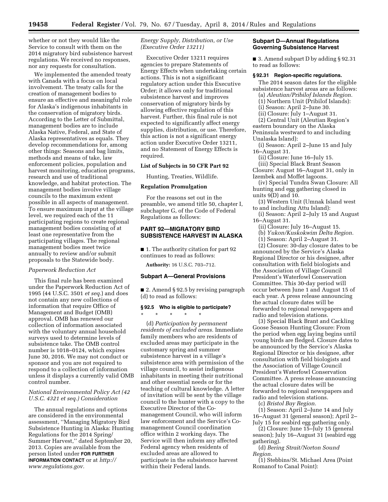whether or not they would like the Service to consult with them on the 2014 migratory bird subsistence harvest regulations. We received no responses, nor any requests for consultation.

We implemented the amended treaty with Canada with a focus on local involvement. The treaty calls for the creation of management bodies to ensure an effective and meaningful role for Alaska's indigenous inhabitants in the conservation of migratory birds. According to the Letter of Submittal, management bodies are to include Alaska Native, Federal, and State of Alaska representatives as equals. They develop recommendations for, among other things: Seasons and bag limits, methods and means of take, law enforcement policies, population and harvest monitoring, education programs, research and use of traditional knowledge, and habitat protection. The management bodies involve village councils to the maximum extent possible in all aspects of management. To ensure maximum input at the village level, we required each of the 11 participating regions to create regional management bodies consisting of at least one representative from the participating villages. The regional management bodies meet twice annually to review and/or submit proposals to the Statewide body.

#### *Paperwork Reduction Act*

This final rule has been examined under the Paperwork Reduction Act of 1995 (44 U.S.C. 3501 *et seq.*) and does not contain any new collections of information that require Office of Management and Budget (OMB) approval. OMB has renewed our collection of information associated with the voluntary annual household surveys used to determine levels of subsistence take. The OMB control number is 1018–0124, which expires June 30, 2016. We may not conduct or sponsor and you are not required to respond to a collection of information unless it displays a currently valid OMB control number.

# *National Environmental Policy Act (42 U.S.C. 4321 et seq.) Consideration*

The annual regulations and options are considered in the environmental assessment, ''Managing Migratory Bird Subsistence Hunting in Alaska: Hunting Regulations for the 2014 Spring/ Summer Harvest,'' dated September 20, 2013. Copies are available from the person listed under **FOR FURTHER INFORMATION CONTACT** or at *[http://](http://www.regulations.gov) [www.regulations.gov.](http://www.regulations.gov)* 

*Energy Supply, Distribution, or Use (Executive Order 13211)* 

Executive Order 13211 requires agencies to prepare Statements of Energy Effects when undertaking certain actions. This is not a significant regulatory action under this Executive Order; it allows only for traditional subsistence harvest and improves conservation of migratory birds by allowing effective regulation of this harvest. Further, this final rule is not expected to significantly affect energy supplies, distribution, or use. Therefore, this action is not a significant energy action under Executive Order 13211, and no Statement of Energy Effects is required.

#### **List of Subjects in 50 CFR Part 92**

Hunting, Treaties, Wildlife.

# **Regulation Promulgation**

For the reasons set out in the preamble, we amend title 50, chapter I, subchapter G, of the Code of Federal Regulations as follows:

# **PART 92—MIGRATORY BIRD SUBSISTENCE HARVEST IN ALASKA**

■ 1. The authority citation for part 92 continues to read as follows:

**Authority:** 16 U.S.C. 703–712.

#### **Subpart A—General Provisions**

■ 2. Amend § 92.5 by revising paragraph (d) to read as follows:

# **§ 92.5 Who is eligible to participate?**

\* \* \* \* \*

(d) *Participation by permanent residents of excluded areas.* Immediate family members who are residents of excluded areas may participate in the customary spring and summer subsistence harvest in a village's subsistence area with permission of the village council, to assist indigenous inhabitants in meeting their nutritional and other essential needs or for the teaching of cultural knowledge. A letter of invitation will be sent by the village council to the hunter with a copy to the Executive Director of the Comanagement Council, who will inform law enforcement and the Service's Comanagement Council coordination office within 2 working days. The Service will then inform any affected Federal agency when residents of excluded areas are allowed to participate in the subsistence harvest within their Federal lands.

### **Subpart D—Annual Regulations Governing Subsistence Harvest**

■ 3. Amend subpart D by adding § 92.31 to read as follows:

#### **§ 92.31 Region-specific regulations.**

The 2014 season dates for the eligible subsistence harvest areas are as follows:

(a) *Aleutian/Pribilof Islands Region.* 

(1) Northern Unit (Pribilof Islands):

(i) Season: April 2–June 30. (ii) Closure: July 1–August 31.

(2) Central Unit (Aleutian Region's

eastern boundary on the Alaska

Peninsula westward to and including Unalaska Island):

(i) Season: April 2–June 15 and July 16–August 31.

(ii) Closure: June 16–July 15.

(iii) Special Black Brant Season Closure: August 16–August 31, only in Izembek and Moffet lagoons.

(iv) Special Tundra Swan Closure: All hunting and egg gathering closed in units 9(D) and 10.

(3) Western Unit (Umnak Island west to and including Attu Island):

(i) Season: April 2–July 15 and August 16–August 31.

(ii) Closure: July 16–August 15.

(b) *Yukon/Kuskokwim Delta Region.* 

(1) Season: April 2–August 31. (2) Closure: 30-day closure dates to be announced by the Service's Alaska Regional Director or his designee, after consultation with field biologists and the Association of Village Council President's Waterfowl Conservation Committee. This 30-day period will occur between June 1 and August 15 of each year. A press release announcing the actual closure dates will be forwarded to regional newspapers and radio and television stations.

(3) Special Black Brant and Cackling Goose Season Hunting Closure: From the period when egg laying begins until young birds are fledged. Closure dates to be announced by the Service's Alaska Regional Director or his designee, after consultation with field biologists and the Association of Village Council President's Waterfowl Conservation Committee. A press release announcing the actual closure dates will be forwarded to regional newspapers and radio and television stations.

(c) *Bristol Bay Region.* 

(1) Season: April 2–June 14 and July 16–August 31 (general season); April 2– July 15 for seabird egg gathering only.

(2) Closure: June 15–July 15 (general season); July 16–August 31 (seabird egg gathering).

(d) *Bering Strait/Norton Sound Region.* 

(1) Stebbins/St. Michael Area (Point Romanof to Canal Point):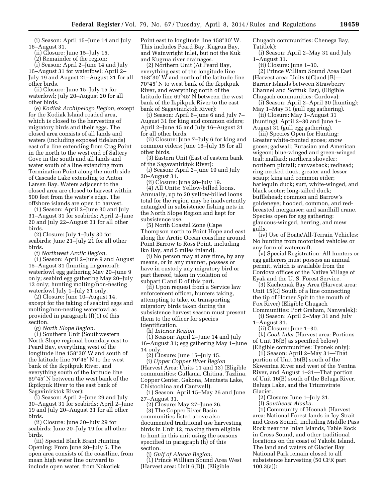(i) Season: April 15–June 14 and July 16–August 31.

(ii) Closure: June 15–July 15.

(2) Remainder of the region:

(i) Season: April 2–June 14 and July 16–August 31 for waterfowl; April 2– July 19 and August 21–August 31 for all other birds.

(ii) Closure: June 15–July 15 for waterfowl; July 20–August 20 for all other birds.

(e) *Kodiak Archipelago Region*, except for the Kodiak Island roaded area, which is closed to the harvesting of migratory birds and their eggs. The closed area consists of all lands and waters (including exposed tidelands) east of a line extending from Crag Point in the north to the west end of Saltery Cove in the south and all lands and water south of a line extending from Termination Point along the north side of Cascade Lake extending to Anton Larsen Bay. Waters adjacent to the closed area are closed to harvest within 500 feet from the water's edge. The offshore islands are open to harvest.

(1) Season: April 2–June 30 and July 31–August 31 for seabirds; April 2–June 20 and July 22–August 31 for all other birds.

(2) Closure: July 1–July 30 for seabirds; June 21–July 21 for all other birds.

(f) *Northwest Arctic Region.* 

(1) Season: April 2–June 9 and August 15–August 31 (hunting in general); waterfowl egg gathering May 20–June 9 only; seabird egg gathering May 20–July 12 only; hunting molting/non-nesting waterfowl July 1–July 31 only.

(2) Closure: June 10–August 14, except for the taking of seabird eggs and molting/non-nesting waterfowl as provided in paragraph (f)(1) of this section.

(g) *North Slope Region.* 

(1) Southern Unit (Southwestern North Slope regional boundary east to Peard Bay, everything west of the longitude line 158°30′ W and south of the latitude line 70°45′ N to the west bank of the Ikpikpuk River, and everything south of the latitude line 69°45′ N between the west bank of the Ikpikpuk River to the east bank of Sagavinirktok River):

(i) Season: April 2–June 29 and July 30–August 31 for seabirds; April 2–June 19 and July 20–August 31 for all other birds.

(ii) Closure: June 30–July 29 for seabirds; June 20–July 19 for all other birds.

(iii) Special Black Brant Hunting Opening: From June 20–July 5. The open area consists of the coastline, from mean high water line outward to include open water, from Nokotlek

Point east to longitude line 158°30′ W. This includes Peard Bay, Kugrua Bay, and Wainwright Inlet, but not the Kuk and Kugrua river drainages.

(2) Northern Unit (At Peard Bay, everything east of the longitude line 158°30′ W and north of the latitude line 70°45′ N to west bank of the Ikpikpuk River, and everything north of the latitude line 69°45′ N between the west bank of the Ikpikpuk River to the east bank of Sagavinirktok River):

(i) Season: April 6–June 6 and July 7– August 31 for king and common eiders; April 2–June 15 and July 16–August 31 for all other birds.

(ii) Closure: June 7–July 6 for king and common eiders; June 16–July 15 for all other birds.

(3) Eastern Unit (East of eastern bank of the Sagavanirktok River):

(i) Season: April 2–June 19 and July 20–August 31.

(ii) Closure: June 20–July 19.

(4) All Units: Yellow-billed loons. Annually, up to 20 yellow-billed loons total for the region may be inadvertently entangled in subsistence fishing nets in the North Slope Region and kept for subsistence use.

(5) North Coastal Zone (Cape Thompson north to Point Hope and east along the Arctic Ocean coastline around Point Barrow to Ross Point, including Iko Bay, and 5 miles inland).

(i) No person may at any time, by any means, or in any manner, possess or have in custody any migratory bird or part thereof, taken in violation of subpart C and D of this part.

(ii) Upon request from a Service law enforcement officer, hunters taking, attempting to take, or transporting migratory birds taken during the subsistence harvest season must present them to the officer for species identification.

(h) *Interior Region.* 

(1) Season: April 2–June 14 and July 16–August 31; egg gathering May 1–June 14 only.

(2) Closure: June 15–July 15. (i) *Upper Copper River Region*  (Harvest Area: Units 11 and 13) (Eligible communities: Gulkana, Chitina, Tazlina, Copper Center, Gakona, Mentasta Lake, Chistochina and Cantwell).

(1) Season: April 15–May 26 and June 27–August 31.

(2) Closure: May 27–June 26.

(3) The Copper River Basin communities listed above also documented traditional use harvesting birds in Unit 12, making them eligible to hunt in this unit using the seasons specified in paragraph (h) of this section.

(j) *Gulf of Alaska Region.*  (1) Prince William Sound Area West (Harvest area: Unit 6[D]), (Eligible

Chugach communities: Chenega Bay, Tatitlek):

(i) Season: April 2–May 31 and July 1–August 31.

(ii) Closure: June 1–30.

(2) Prince William Sound Area East (Harvest area: Units 6[C]and [B]— Barrier Islands between Strawberry Channel and Softtuk Bar), (Eligible Chugach communities: Cordova):

(i) Season: April 2–April 30 (hunting); May 1–May 31 (gull egg gathering).

(ii) Closure: May 1–August 31 (hunting); April 2–30 and June 1–

August 31 (gull egg gathering). (iii) Species Open for Hunting:

Greater white-fronted goose; snow goose; gadwall; Eurasian and American wigeon; blue-winged and green-winged teal; mallard; northern shoveler; northern pintail; canvasback; redhead; ring-necked duck; greater and lesser scaup; king and common eider; harlequin duck; surf, white-winged, and black scoter; long-tailed duck; bufflehead; common and Barrow's goldeneye; hooded, common, and redbreasted merganser; and sandhill crane. Species open for egg gathering: glaucous-winged, herring, and mew gulls.

(iv) Use of Boats/All-Terrain Vehicles: No hunting from motorized vehicles or any form of watercraft.

(v) Special Registration: All hunters or egg gatherers must possess an annual permit, which is available from the Cordova offices of the Native Village of Eyak and the U. S. Forest Service.

(3) Kachemak Bay Area (Harvest area: Unit 15[C] South of a line connecting the tip of Homer Spit to the mouth of Fox River) (Eligible Chugach

Communities: Port Graham, Nanwalek): (i) Season: April 2–May 31 and July

1–August 31.

(ii) Closure: June 1–30. (k) *Cook Inlet* (Harvest area: Portions of Unit 16[B] as specified below) (Eligible communities: Tyonek only):

(1) Season: April 2–May 31—That portion of Unit 16(B) south of the Skwentna River and west of the Yentna River, and August 1–31—That portion of Unit 16(B) south of the Beluga River, Beluga Lake, and the Triumvirate Glacier.

(2) Closure: June 1–July 31.

(l) *Southeast Alaska.* 

(1) Community of Hoonah (Harvest area: National Forest lands in Icy Strait and Cross Sound, including Middle Pass Rock near the Inian Islands, Table Rock in Cross Sound, and other traditional locations on the coast of Yakobi Island. The land and waters of Glacier Bay National Park remain closed to all subsistence harvesting (50 CFR part 100.3(a)):